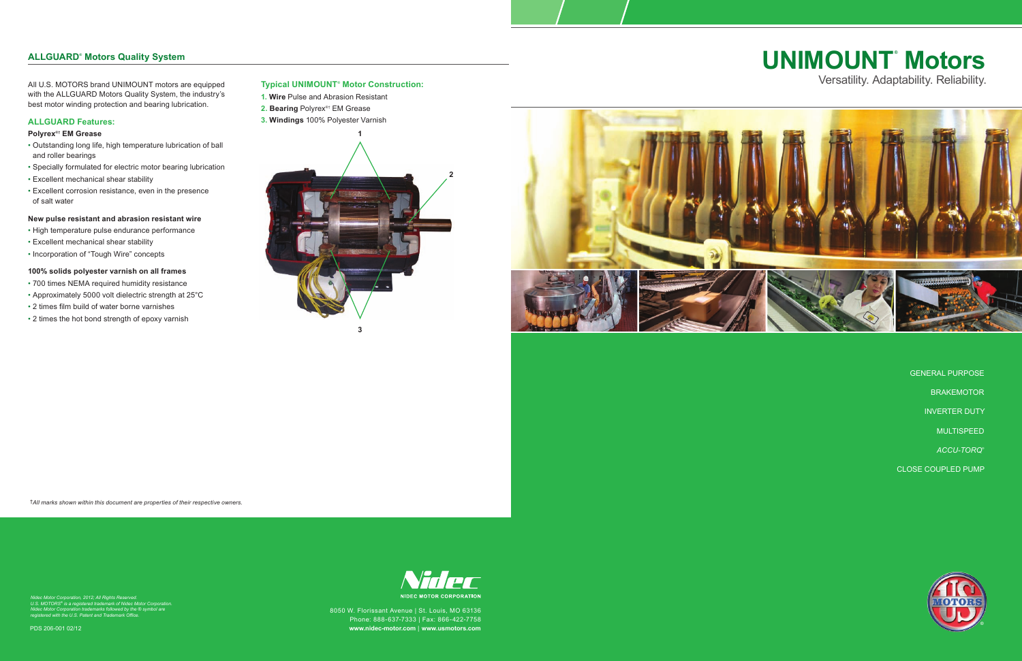# **UNIMOUNT® Motors** Versatility. Adaptability. Reliability.

GENERAL PURPOSE BRAKEMOTOR INVERTER DUTY MULTISPEED *ACCU-TORQ*® CLOSE COUPLED PUMP



PDS 206-001 02/12



# **ALLGUARD® Motors Quality System**

All U.S. MOTORS brand UNIMOUNT motors are equipped with the ALLGUARD Motors Quality System, the industry's best motor winding protection and bearing lubrication.

# **ALLGUARD Features:**

# **Polyrex®† EM Grease**

- Outstanding long life, high temperature lubrication of ball and roller bearings
- Specially formulated for electric motor bearing lubrication
- Excellent mechanical shear stability
- Excellent corrosion resistance, even in the presence of salt water

# **New pulse resistant and abrasion resistant wire**

- High temperature pulse endurance performance
- Excellent mechanical shear stability
- Incorporation of "Tough Wire" concepts

# **100% solids polyester varnish on all frames**

- 700 times NEMA required humidity resistance
- Approximately 5000 volt dielectric strength at 25°C
- 2 times film build of water borne varnishes
- 2 times the hot bond strength of epoxy varnish

# **Typical UNIMOUNT® Motor Construction:**

- **1. Wire** Pulse and Abrasion Resistant
- **2. Bearing** Polyrex®† EM Grease
- **3. Windings** 100% Polyester Varnish





†*All marks shown within this document are properties of their respective owners.*

Nidec Motor Corporation, 2012; All Rights Reserved.<br>U.S. MOTORS® is a registered trademark of Nidec Motor Corporation.<br>Nidec Motor Corporation trademarks followed by the ® symbol are<br>registered with the U.S. Patent and Tra

8050 W. Florissant Avenue | St. Louis, MO 63136 Phone: 888-637-7333 | Fax: 866-422-7758 **www.nidec-motor.com** | **www.usmotors.com**